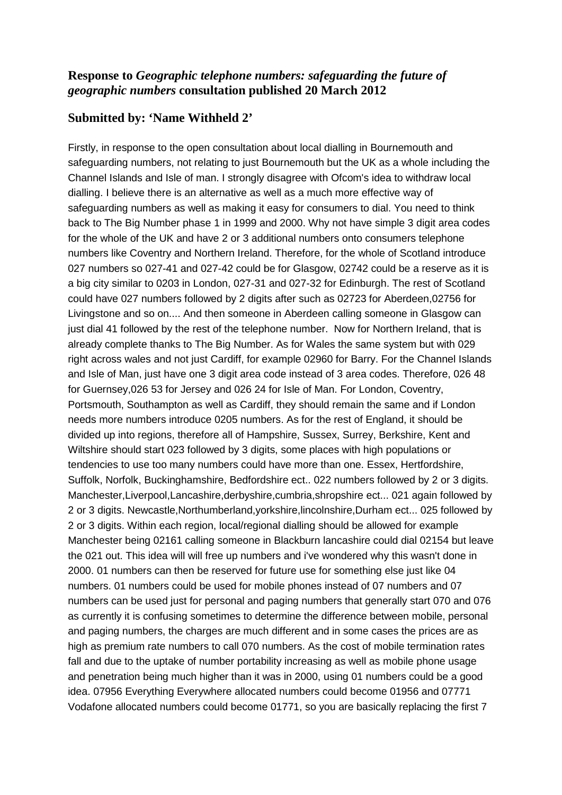## **Response to** *Geographic telephone numbers: safeguarding the future of geographic numbers* **consultation published 20 March 2012**

## **Submitted by: 'Name Withheld 2'**

Firstly, in response to the open consultation about local dialling in Bournemouth and safeguarding numbers, not relating to just Bournemouth but the UK as a whole including the Channel Islands and Isle of man. I strongly disagree with Ofcom's idea to withdraw local dialling. I believe there is an alternative as well as a much more effective way of safeguarding numbers as well as making it easy for consumers to dial. You need to think back to The Big Number phase 1 in 1999 and 2000. Why not have simple 3 digit area codes for the whole of the UK and have 2 or 3 additional numbers onto consumers telephone numbers like Coventry and Northern Ireland. Therefore, for the whole of Scotland introduce 027 numbers so 027-41 and 027-42 could be for Glasgow, 02742 could be a reserve as it is a big city similar to 0203 in London, 027-31 and 027-32 for Edinburgh. The rest of Scotland could have 027 numbers followed by 2 digits after such as 02723 for Aberdeen,02756 for Livingstone and so on.... And then someone in Aberdeen calling someone in Glasgow can just dial 41 followed by the rest of the telephone number. Now for Northern Ireland, that is already complete thanks to The Big Number. As for Wales the same system but with 029 right across wales and not just Cardiff, for example 02960 for Barry. For the Channel Islands and Isle of Man, just have one 3 digit area code instead of 3 area codes. Therefore, 026 48 for Guernsey,026 53 for Jersey and 026 24 for Isle of Man. For London, Coventry, Portsmouth, Southampton as well as Cardiff, they should remain the same and if London needs more numbers introduce 0205 numbers. As for the rest of England, it should be divided up into regions, therefore all of Hampshire, Sussex, Surrey, Berkshire, Kent and Wiltshire should start 023 followed by 3 digits, some places with high populations or tendencies to use too many numbers could have more than one. Essex, Hertfordshire, Suffolk, Norfolk, Buckinghamshire, Bedfordshire ect.. 022 numbers followed by 2 or 3 digits. Manchester,Liverpool,Lancashire,derbyshire,cumbria,shropshire ect... 021 again followed by 2 or 3 digits. Newcastle,Northumberland,yorkshire,lincolnshire,Durham ect... 025 followed by 2 or 3 digits. Within each region, local/regional dialling should be allowed for example Manchester being 02161 calling someone in Blackburn lancashire could dial 02154 but leave the 021 out. This idea will will free up numbers and i've wondered why this wasn't done in 2000. 01 numbers can then be reserved for future use for something else just like 04 numbers. 01 numbers could be used for mobile phones instead of 07 numbers and 07 numbers can be used just for personal and paging numbers that generally start 070 and 076 as currently it is confusing sometimes to determine the difference between mobile, personal and paging numbers, the charges are much different and in some cases the prices are as high as premium rate numbers to call 070 numbers. As the cost of mobile termination rates fall and due to the uptake of number portability increasing as well as mobile phone usage and penetration being much higher than it was in 2000, using 01 numbers could be a good idea. 07956 Everything Everywhere allocated numbers could become 01956 and 07771 Vodafone allocated numbers could become 01771, so you are basically replacing the first 7